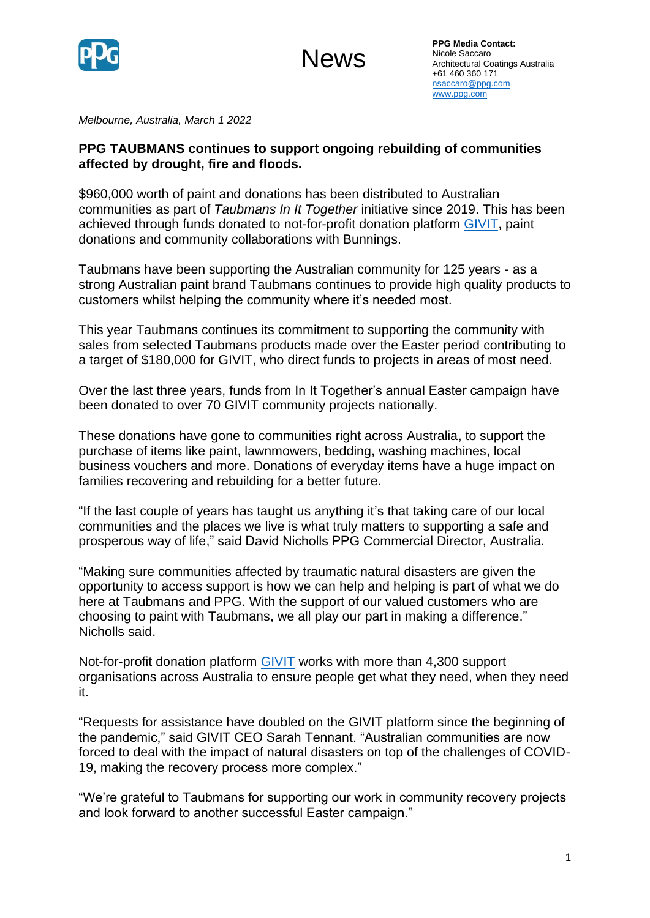



*Melbourne, Australia, March 1 2022* 

## **PPG TAUBMANS continues to support ongoing rebuilding of communities affected by drought, fire and floods.**

\$960,000 worth of paint and donations has been distributed to Australian communities as part of *Taubmans In It Together* initiative since 2019. This has been achieved through funds donated to not-for-profit donation platform [GIVIT,](http://www.givit.org.au/) paint donations and community collaborations with Bunnings.

Taubmans have been supporting the Australian community for 125 years - as a strong Australian paint brand Taubmans continues to provide high quality products to customers whilst helping the community where it's needed most.

This year Taubmans continues its commitment to supporting the community with sales from selected Taubmans products made over the Easter period contributing to a target of \$180,000 for GIVIT, who direct funds to projects in areas of most need.

Over the last three years, funds from In It Together's annual Easter campaign have been donated to over 70 GIVIT community projects nationally.

These donations have gone to communities right across Australia, to support the purchase of items like paint, lawnmowers, bedding, washing machines, local business vouchers and more. Donations of everyday items have a huge impact on families recovering and rebuilding for a better future.

"If the last couple of years has taught us anything it's that taking care of our local communities and the places we live is what truly matters to supporting a safe and prosperous way of life," said David Nicholls PPG Commercial Director, Australia.

"Making sure communities affected by traumatic natural disasters are given the opportunity to access support is how we can help and helping is part of what we do here at Taubmans and PPG. With the support of our valued customers who are choosing to paint with Taubmans, we all play our part in making a difference." Nicholls said.

Not-for-profit donation platform [GIVIT](http://www.givit.org.au/) works with more than 4,300 support organisations across Australia to ensure people get what they need, when they need it.

"Requests for assistance have doubled on the GIVIT platform since the beginning of the pandemic," said GIVIT CEO Sarah Tennant. "Australian communities are now forced to deal with the impact of natural disasters on top of the challenges of COVID-19, making the recovery process more complex."

"We're grateful to Taubmans for supporting our work in community recovery projects and look forward to another successful Easter campaign."